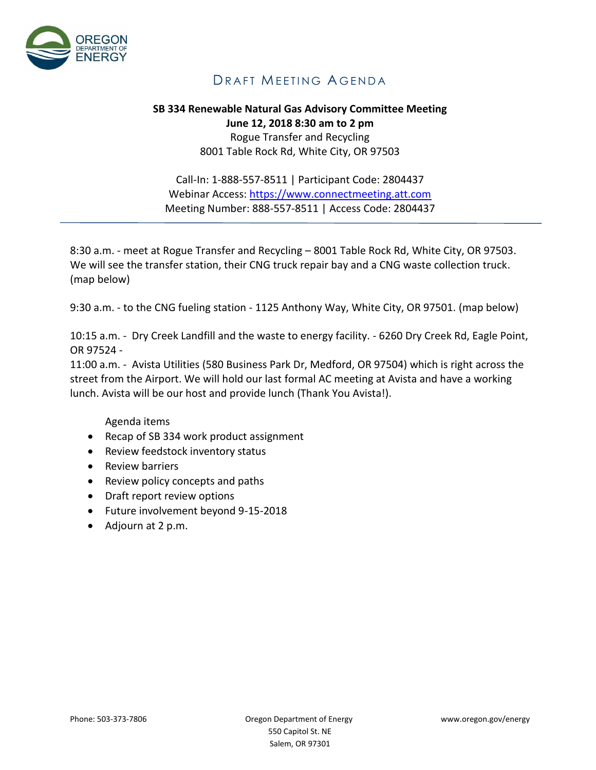

## DRAFT MEETING AGENDA

## **SB 334 Renewable Natural Gas Advisory Committee Meeting June 12, 2018 8:30 am to 2 pm** Rogue Transfer and Recycling 8001 Table Rock Rd, White City, OR 97503

Call-In: 1-888-557-8511 | Participant Code: 2804437 Webinar Access: [https://www.connectmeeting.att.com](https://www.connectmeeting.att.com/) Meeting Number: 888-557-8511 | Access Code: 2804437

8:30 a.m. - meet at Rogue Transfer and Recycling – 8001 Table Rock Rd, White City, OR 97503. We will see the transfer station, their CNG truck repair bay and a CNG waste collection truck. (map below)

9:30 a.m. - to the CNG fueling station - 1125 Anthony Way, White City, OR 97501. (map below)

10:15 a.m. - Dry Creek Landfill and the waste to energy facility. - 6260 Dry Creek Rd, Eagle Point, OR 97524 -

11:00 a.m. - Avista Utilities (580 Business Park Dr, Medford, OR 97504) which is right across the street from the Airport. We will hold our last formal AC meeting at Avista and have a working lunch. Avista will be our host and provide lunch (Thank You Avista!).

Agenda items

- Recap of SB 334 work product assignment
- Review feedstock inventory status
- Review barriers
- Review policy concepts and paths
- Draft report review options
- Future involvement beyond 9-15-2018
- Adjourn at 2 p.m.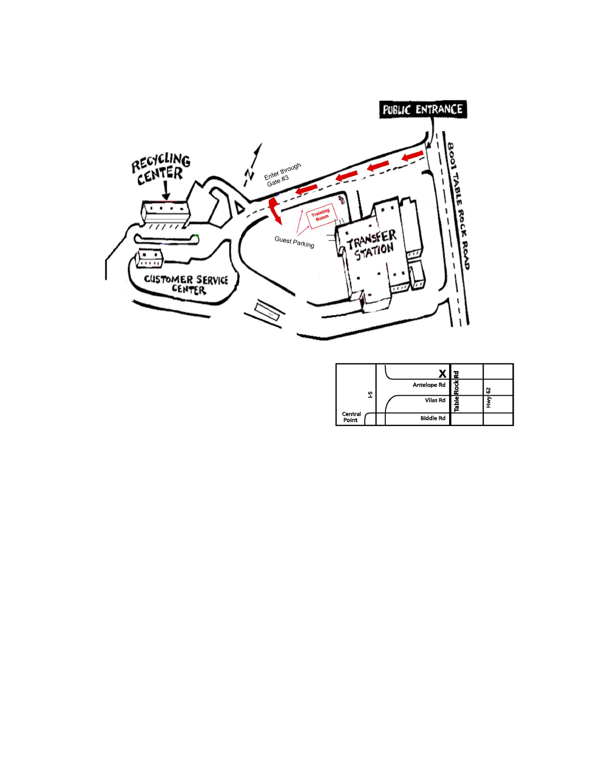

|                  |                    | 꿑     |   |
|------------------|--------------------|-------|---|
| 꼬                | <b>Antelope Rd</b> | Rock  | 5 |
|                  | <b>Vilas Rd</b>    | Table |   |
| Central<br>Point | <b>Biddle Rd</b>   |       |   |